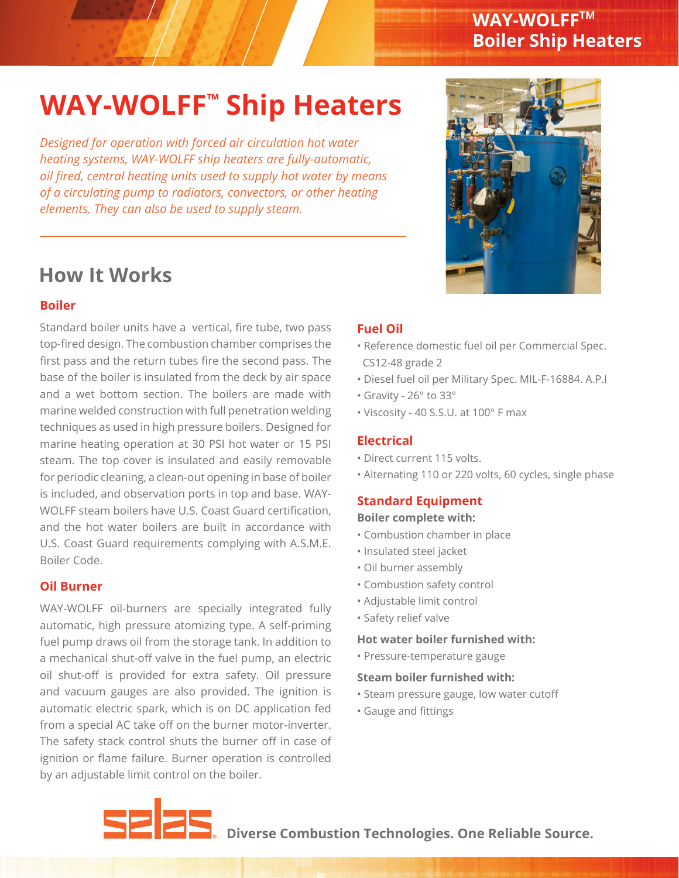### **WAY-WOLFFTM Boiler Ship Heaters**

# **WAY-WOLFF™ Ship Heaters**

*Designed for operation with forced air circulation hot water heating systems, WAY-WOLFF ship heaters are fully-automatic, oil fired, central heating units used to supply hot water by means of a circulating pump to radiators, convectors, or other heating elements. They can also be used to supply steam.* 

## **How It Works**

#### **Boiler**

Standard boiler units have a vertical, fire tube, two pass top-fired design. The combustion chamber comprises the first pass and the return tubes fire the second pass. The base of the boiler is insulated from the deck by air space and a wet bottom section. The boilers are made with marine welded construction with full penetration welding techniques as used in high pressure boilers. Designed for marine heating operation at 30 PSI hot water or 15 PSI steam. The top cover is insulated and easily removable for periodic cleaning, a clean-out opening in base of boiler is included, and observation ports in top and base. WAY-WOLFF steam boilers have U.S. Coast Guard certification, and the hot water boilers are built in accordance with U.S. Coast Guard requirements complying with A.S.M.E. Boiler Code.

#### **Oil Burner**

WAY-WOLFF oil-burners are specially integrated fully automatic, high pressure atomizing type. A self-priming fuel pump draws oil from the storage tank. In addition to a mechanical shut-off valve in the fuel pump, an electric oil shut-off is provided for extra safety. Oil pressure and vacuum gauges are also provided. The ignition is automatic electric spark, which is on DC application fed from a special AC take off on the burner motor-inverter. The safety stack control shuts the burner off in case of ignition or flame failure. Burner operation is controlled by an adjustable limit control on the boiler.

#### **Fuel Oil**

- Reference domestic fuel oil per Commercial Spec. CS12-48 grade 2
- Diesel fuel oil per Military Spec. MIL-F-16884. A.P.I
- Gravity 26° to 33°
- Viscosity 40 S.S.U. at 100° F max

#### **Electrical**

- Direct current 115 volts.
- Alternating 110 or 220 volts, 60 cycles, single phase

### **Standard Equipment**

#### **Boiler complete with:**

- Combustion chamber in place
- Insulated steel jacket
- Oil burner assembly
- Combustion safety control
- Adjustable limit control
- Safety relief valve

#### **Hot water boiler furnished with:**

• Pressure-temperature gauge

#### **Steam boiler furnished with:**

- Steam pressure gauge, low water cutoff
- Gauge and fittings



**Diverse Combustion Technologies. One Reliable Source.**